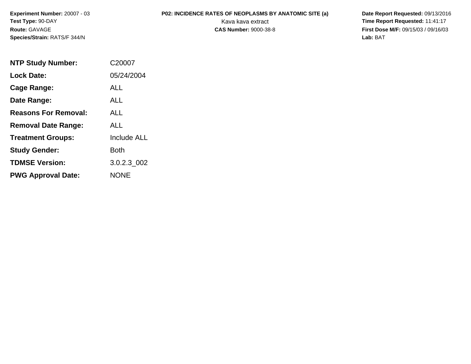**Experiment Number:** 20007 - 03**Test Type:** 90-DAY**Route:** GAVAGE**Species/Strain:** RATS/F 344/N

**P02: INCIDENCE RATES OF NEOPLASMS BY ANATOMIC SITE (a)** Date Report Requested: 09/13/2016<br>Kava kava extract **Time Report Requested:** 11:41:17 Kava kava extract **Time Report Requested:** 11:41:17<br>**CAS Number:** 9000-38-8 **Time Report Requested:** 11:41:17 **First Dose M/F:** 09/15/03 / 09/16/03<br>Lab: BAT **Lab:** BAT

| <b>NTP Study Number:</b>    | C <sub>20007</sub> |
|-----------------------------|--------------------|
| <b>Lock Date:</b>           | 05/24/2004         |
| Cage Range:                 | ALL                |
| Date Range:                 | <b>ALL</b>         |
| <b>Reasons For Removal:</b> | AI I               |
| <b>Removal Date Range:</b>  | ALL                |
| <b>Treatment Groups:</b>    | <b>Include ALL</b> |
| <b>Study Gender:</b>        | <b>Both</b>        |
| <b>TDMSE Version:</b>       | 3.0.2.3 002        |
| <b>PWG Approval Date:</b>   | NONE               |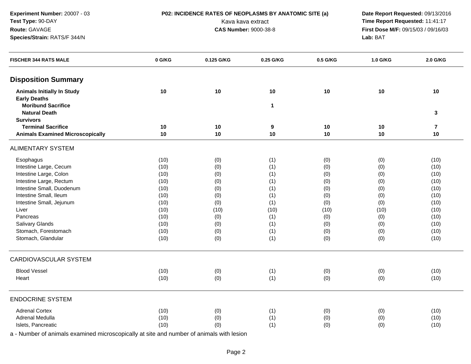**Experiment Number:** 20007 - 03**Test Type:** 90-DAY**Route:** GAVAGE**Species/Strain:** RATS/F 344/N

**P02: INCIDENCE RATES OF NEOPLASMS BY ANATOMIC SITE (a)** Date Report Requested: 09/13/2016<br>Kava kava extract **Time Report Requested:** 11:41:17 Kava kava extract **Time Report Requested:** 11:41:17<br>**CAS Number:** 9000-38-8 **Time Report Requested:** 11:41:17 **First Dose M/F:** 09/15/03 / 09/16/03<br>Lab: BAT **Lab:** BAT

| 10<br>10<br><b>Animals Initially In Study</b><br>10<br>10<br>10<br>10<br><b>Early Deaths</b><br><b>Moribund Sacrifice</b><br>$\mathbf 1$<br><b>Natural Death</b><br>3<br><b>Survivors</b><br><b>Terminal Sacrifice</b><br>$10$<br>10<br>$\overline{\mathbf{r}}$<br>10<br>10<br>9<br>10<br><b>Animals Examined Microscopically</b><br>10<br>10<br>10<br>10<br>10<br>Esophagus<br>(10)<br>(0)<br>(1)<br>(0)<br>(0)<br>(10)<br>Intestine Large, Cecum<br>(0)<br>(10)<br>(1)<br>(0)<br>(0)<br>(10)<br>Intestine Large, Colon<br>(10)<br>(0)<br>(1)<br>(0)<br>(0)<br>(10)<br>Intestine Large, Rectum<br>(10)<br>(1)<br>(10)<br>(0)<br>(0)<br>(0)<br>Intestine Small, Duodenum<br>(1)<br>(10)<br>(10)<br>(0)<br>(0)<br>(0)<br>Intestine Small, Ileum<br>(10)<br>(0)<br>(1)<br>(0)<br>(10)<br>(0)<br>Intestine Small, Jejunum<br>(10)<br>(0)<br>(1)<br>(0)<br>(0)<br>(10)<br>Liver<br>(10)<br>(10)<br>(10)<br>(10)<br>(10)<br>(10)<br>(1)<br>Pancreas<br>(10)<br>(0)<br>(0)<br>(0)<br>(10)<br>Salivary Glands<br>(10)<br>(0)<br>(1)<br>(0)<br>(0)<br>(10)<br>Stomach, Forestomach<br>(1)<br>(0)<br>(10)<br>(0)<br>(0)<br>(10)<br>Stomach, Glandular<br>(1)<br>(10)<br>(0)<br>(0)<br>(0)<br>(10)<br><b>Blood Vessel</b><br>(10)<br>(0)<br>(1)<br>(0)<br>(0)<br>(10)<br>(10)<br>(0)<br>(1)<br>(0)<br>(0)<br>(10)<br>Heart<br><b>Adrenal Cortex</b><br>(10)<br>(0)<br>(1)<br>(10)<br>(0)<br>(0)<br>Adrenal Medulla<br>(10)<br>(0)<br>(1)<br>(0)<br>(0)<br>(10)<br>Islets, Pancreatic<br>(10) | <b>FISCHER 344 RATS MALE</b> | 0 G/KG | 0.125 G/KG | 0.25 G/KG | 0.5 G/KG | 1.0 G/KG | 2.0 G/KG |
|------------------------------------------------------------------------------------------------------------------------------------------------------------------------------------------------------------------------------------------------------------------------------------------------------------------------------------------------------------------------------------------------------------------------------------------------------------------------------------------------------------------------------------------------------------------------------------------------------------------------------------------------------------------------------------------------------------------------------------------------------------------------------------------------------------------------------------------------------------------------------------------------------------------------------------------------------------------------------------------------------------------------------------------------------------------------------------------------------------------------------------------------------------------------------------------------------------------------------------------------------------------------------------------------------------------------------------------------------------------------------------------------------------------------------------------------------------------------------------|------------------------------|--------|------------|-----------|----------|----------|----------|
|                                                                                                                                                                                                                                                                                                                                                                                                                                                                                                                                                                                                                                                                                                                                                                                                                                                                                                                                                                                                                                                                                                                                                                                                                                                                                                                                                                                                                                                                                    | <b>Disposition Summary</b>   |        |            |           |          |          |          |
|                                                                                                                                                                                                                                                                                                                                                                                                                                                                                                                                                                                                                                                                                                                                                                                                                                                                                                                                                                                                                                                                                                                                                                                                                                                                                                                                                                                                                                                                                    |                              |        |            |           |          |          |          |
|                                                                                                                                                                                                                                                                                                                                                                                                                                                                                                                                                                                                                                                                                                                                                                                                                                                                                                                                                                                                                                                                                                                                                                                                                                                                                                                                                                                                                                                                                    |                              |        |            |           |          |          |          |
|                                                                                                                                                                                                                                                                                                                                                                                                                                                                                                                                                                                                                                                                                                                                                                                                                                                                                                                                                                                                                                                                                                                                                                                                                                                                                                                                                                                                                                                                                    |                              |        |            |           |          |          |          |
|                                                                                                                                                                                                                                                                                                                                                                                                                                                                                                                                                                                                                                                                                                                                                                                                                                                                                                                                                                                                                                                                                                                                                                                                                                                                                                                                                                                                                                                                                    |                              |        |            |           |          |          |          |
|                                                                                                                                                                                                                                                                                                                                                                                                                                                                                                                                                                                                                                                                                                                                                                                                                                                                                                                                                                                                                                                                                                                                                                                                                                                                                                                                                                                                                                                                                    |                              |        |            |           |          |          |          |
|                                                                                                                                                                                                                                                                                                                                                                                                                                                                                                                                                                                                                                                                                                                                                                                                                                                                                                                                                                                                                                                                                                                                                                                                                                                                                                                                                                                                                                                                                    |                              |        |            |           |          |          |          |
|                                                                                                                                                                                                                                                                                                                                                                                                                                                                                                                                                                                                                                                                                                                                                                                                                                                                                                                                                                                                                                                                                                                                                                                                                                                                                                                                                                                                                                                                                    |                              |        |            |           |          |          |          |
|                                                                                                                                                                                                                                                                                                                                                                                                                                                                                                                                                                                                                                                                                                                                                                                                                                                                                                                                                                                                                                                                                                                                                                                                                                                                                                                                                                                                                                                                                    | <b>ALIMENTARY SYSTEM</b>     |        |            |           |          |          |          |
|                                                                                                                                                                                                                                                                                                                                                                                                                                                                                                                                                                                                                                                                                                                                                                                                                                                                                                                                                                                                                                                                                                                                                                                                                                                                                                                                                                                                                                                                                    |                              |        |            |           |          |          |          |
|                                                                                                                                                                                                                                                                                                                                                                                                                                                                                                                                                                                                                                                                                                                                                                                                                                                                                                                                                                                                                                                                                                                                                                                                                                                                                                                                                                                                                                                                                    |                              |        |            |           |          |          |          |
|                                                                                                                                                                                                                                                                                                                                                                                                                                                                                                                                                                                                                                                                                                                                                                                                                                                                                                                                                                                                                                                                                                                                                                                                                                                                                                                                                                                                                                                                                    |                              |        |            |           |          |          |          |
|                                                                                                                                                                                                                                                                                                                                                                                                                                                                                                                                                                                                                                                                                                                                                                                                                                                                                                                                                                                                                                                                                                                                                                                                                                                                                                                                                                                                                                                                                    |                              |        |            |           |          |          |          |
|                                                                                                                                                                                                                                                                                                                                                                                                                                                                                                                                                                                                                                                                                                                                                                                                                                                                                                                                                                                                                                                                                                                                                                                                                                                                                                                                                                                                                                                                                    |                              |        |            |           |          |          |          |
|                                                                                                                                                                                                                                                                                                                                                                                                                                                                                                                                                                                                                                                                                                                                                                                                                                                                                                                                                                                                                                                                                                                                                                                                                                                                                                                                                                                                                                                                                    |                              |        |            |           |          |          |          |
|                                                                                                                                                                                                                                                                                                                                                                                                                                                                                                                                                                                                                                                                                                                                                                                                                                                                                                                                                                                                                                                                                                                                                                                                                                                                                                                                                                                                                                                                                    |                              |        |            |           |          |          |          |
|                                                                                                                                                                                                                                                                                                                                                                                                                                                                                                                                                                                                                                                                                                                                                                                                                                                                                                                                                                                                                                                                                                                                                                                                                                                                                                                                                                                                                                                                                    |                              |        |            |           |          |          |          |
|                                                                                                                                                                                                                                                                                                                                                                                                                                                                                                                                                                                                                                                                                                                                                                                                                                                                                                                                                                                                                                                                                                                                                                                                                                                                                                                                                                                                                                                                                    |                              |        |            |           |          |          |          |
|                                                                                                                                                                                                                                                                                                                                                                                                                                                                                                                                                                                                                                                                                                                                                                                                                                                                                                                                                                                                                                                                                                                                                                                                                                                                                                                                                                                                                                                                                    |                              |        |            |           |          |          |          |
|                                                                                                                                                                                                                                                                                                                                                                                                                                                                                                                                                                                                                                                                                                                                                                                                                                                                                                                                                                                                                                                                                                                                                                                                                                                                                                                                                                                                                                                                                    |                              |        |            |           |          |          |          |
|                                                                                                                                                                                                                                                                                                                                                                                                                                                                                                                                                                                                                                                                                                                                                                                                                                                                                                                                                                                                                                                                                                                                                                                                                                                                                                                                                                                                                                                                                    |                              |        |            |           |          |          |          |
|                                                                                                                                                                                                                                                                                                                                                                                                                                                                                                                                                                                                                                                                                                                                                                                                                                                                                                                                                                                                                                                                                                                                                                                                                                                                                                                                                                                                                                                                                    | <b>CARDIOVASCULAR SYSTEM</b> |        |            |           |          |          |          |
|                                                                                                                                                                                                                                                                                                                                                                                                                                                                                                                                                                                                                                                                                                                                                                                                                                                                                                                                                                                                                                                                                                                                                                                                                                                                                                                                                                                                                                                                                    |                              |        |            |           |          |          |          |
|                                                                                                                                                                                                                                                                                                                                                                                                                                                                                                                                                                                                                                                                                                                                                                                                                                                                                                                                                                                                                                                                                                                                                                                                                                                                                                                                                                                                                                                                                    |                              |        |            |           |          |          |          |
|                                                                                                                                                                                                                                                                                                                                                                                                                                                                                                                                                                                                                                                                                                                                                                                                                                                                                                                                                                                                                                                                                                                                                                                                                                                                                                                                                                                                                                                                                    | <b>ENDOCRINE SYSTEM</b>      |        |            |           |          |          |          |
|                                                                                                                                                                                                                                                                                                                                                                                                                                                                                                                                                                                                                                                                                                                                                                                                                                                                                                                                                                                                                                                                                                                                                                                                                                                                                                                                                                                                                                                                                    |                              |        |            |           |          |          |          |
|                                                                                                                                                                                                                                                                                                                                                                                                                                                                                                                                                                                                                                                                                                                                                                                                                                                                                                                                                                                                                                                                                                                                                                                                                                                                                                                                                                                                                                                                                    |                              |        |            |           |          |          |          |
|                                                                                                                                                                                                                                                                                                                                                                                                                                                                                                                                                                                                                                                                                                                                                                                                                                                                                                                                                                                                                                                                                                                                                                                                                                                                                                                                                                                                                                                                                    |                              |        | (0)        | (1)       | (0)      | (0)      | (10)     |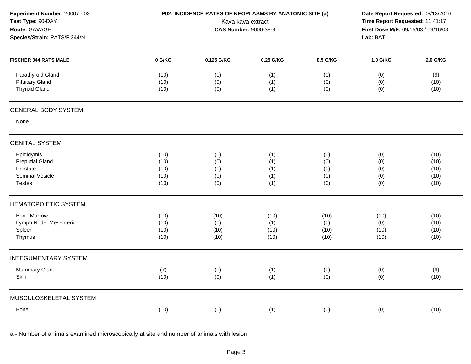| Experiment Number: 20007 - 03<br>Test Type: 90-DAY<br>Route: GAVAGE<br>Species/Strain: RATS/F 344/N | P02: INCIDENCE RATES OF NEOPLASMS BY ANATOMIC SITE (a)<br>Kava kava extract<br><b>CAS Number: 9000-38-8</b> |                                 |                                 |                                 | Date Report Requested: 09/13/2016<br>Time Report Requested: 11:41:17<br>First Dose M/F: 09/15/03 / 09/16/03<br>Lab: BAT |                                      |  |
|-----------------------------------------------------------------------------------------------------|-------------------------------------------------------------------------------------------------------------|---------------------------------|---------------------------------|---------------------------------|-------------------------------------------------------------------------------------------------------------------------|--------------------------------------|--|
| <b>FISCHER 344 RATS MALE</b>                                                                        | 0 G/KG                                                                                                      | 0.125 G/KG                      | 0.25 G/KG                       | 0.5 G/KG                        | 1.0 G/KG                                                                                                                | 2.0 G/KG                             |  |
| Parathyroid Gland<br><b>Pituitary Gland</b><br><b>Thyroid Gland</b>                                 | (10)<br>(10)<br>(10)                                                                                        | (0)<br>(0)<br>(0)               | (1)<br>(1)<br>(1)               | (0)<br>(0)<br>(0)               | (0)<br>(0)<br>(0)                                                                                                       | (9)<br>(10)<br>(10)                  |  |
| <b>GENERAL BODY SYSTEM</b>                                                                          |                                                                                                             |                                 |                                 |                                 |                                                                                                                         |                                      |  |
| None                                                                                                |                                                                                                             |                                 |                                 |                                 |                                                                                                                         |                                      |  |
| <b>GENITAL SYSTEM</b>                                                                               |                                                                                                             |                                 |                                 |                                 |                                                                                                                         |                                      |  |
| Epididymis<br><b>Preputial Gland</b><br>Prostate<br><b>Seminal Vesicle</b><br><b>Testes</b>         | (10)<br>(10)<br>(10)<br>(10)<br>(10)                                                                        | (0)<br>(0)<br>(0)<br>(0)<br>(0) | (1)<br>(1)<br>(1)<br>(1)<br>(1) | (0)<br>(0)<br>(0)<br>(0)<br>(0) | (0)<br>(0)<br>(0)<br>(0)<br>(0)                                                                                         | (10)<br>(10)<br>(10)<br>(10)<br>(10) |  |
| <b>HEMATOPOIETIC SYSTEM</b>                                                                         |                                                                                                             |                                 |                                 |                                 |                                                                                                                         |                                      |  |
| <b>Bone Marrow</b><br>Lymph Node, Mesenteric<br>Spleen<br>Thymus                                    | (10)<br>(10)<br>(10)<br>(10)                                                                                | (10)<br>(0)<br>(10)<br>(10)     | (10)<br>(1)<br>(10)<br>(10)     | (10)<br>(0)<br>(10)<br>(10)     | (10)<br>(0)<br>(10)<br>(10)                                                                                             | (10)<br>(10)<br>(10)<br>(10)         |  |
| <b>INTEGUMENTARY SYSTEM</b>                                                                         |                                                                                                             |                                 |                                 |                                 |                                                                                                                         |                                      |  |
| <b>Mammary Gland</b><br>Skin                                                                        | (7)<br>(10)                                                                                                 | (0)<br>(0)                      | (1)<br>(1)                      | (0)<br>(0)                      | (0)<br>(0)                                                                                                              | (9)<br>(10)                          |  |
| MUSCULOSKELETAL SYSTEM                                                                              |                                                                                                             |                                 |                                 |                                 |                                                                                                                         |                                      |  |
| Bone                                                                                                | (10)                                                                                                        | (0)                             | (1)                             | (0)                             | (0)                                                                                                                     | (10)                                 |  |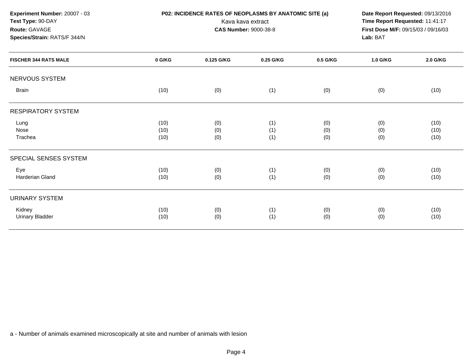| Experiment Number: 20007 - 03<br>Test Type: 90-DAY<br>Route: GAVAGE<br>Species/Strain: RATS/F 344/N |                      | P02: INCIDENCE RATES OF NEOPLASMS BY ANATOMIC SITE (a) | Kava kava extract<br><b>CAS Number: 9000-38-8</b> |                   | Date Report Requested: 09/13/2016<br>Time Report Requested: 11:41:17<br>First Dose M/F: 09/15/03 / 09/16/03<br>Lab: BAT |                      |
|-----------------------------------------------------------------------------------------------------|----------------------|--------------------------------------------------------|---------------------------------------------------|-------------------|-------------------------------------------------------------------------------------------------------------------------|----------------------|
| <b>FISCHER 344 RATS MALE</b>                                                                        | 0 G/KG               | 0.125 G/KG                                             | 0.25 G/KG                                         | 0.5 G/KG          | 1.0 G/KG                                                                                                                | 2.0 G/KG             |
| <b>NERVOUS SYSTEM</b>                                                                               |                      |                                                        |                                                   |                   |                                                                                                                         |                      |
| Brain                                                                                               | (10)                 | (0)                                                    | (1)                                               | (0)               | (0)                                                                                                                     | (10)                 |
| <b>RESPIRATORY SYSTEM</b>                                                                           |                      |                                                        |                                                   |                   |                                                                                                                         |                      |
| Lung<br>Nose<br>Trachea                                                                             | (10)<br>(10)<br>(10) | (0)<br>(0)<br>(0)                                      | (1)<br>(1)<br>(1)                                 | (0)<br>(0)<br>(0) | (0)<br>(0)<br>(0)                                                                                                       | (10)<br>(10)<br>(10) |
| SPECIAL SENSES SYSTEM                                                                               |                      |                                                        |                                                   |                   |                                                                                                                         |                      |
| Eye<br>Harderian Gland                                                                              | (10)<br>(10)         | (0)<br>(0)                                             | (1)<br>(1)                                        | (0)<br>(0)        | (0)<br>(0)                                                                                                              | (10)<br>(10)         |
| <b>URINARY SYSTEM</b>                                                                               |                      |                                                        |                                                   |                   |                                                                                                                         |                      |
| Kidney<br><b>Urinary Bladder</b>                                                                    | (10)<br>(10)         | (0)<br>(0)                                             | (1)<br>(1)                                        | (0)<br>(0)        | (0)<br>(0)                                                                                                              | (10)<br>(10)         |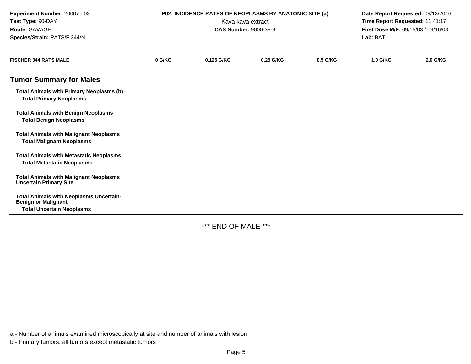| Experiment Number: 20007 - 03<br>Test Type: 90-DAY<br>Route: GAVAGE<br>Species/Strain: RATS/F 344/N              | P02: INCIDENCE RATES OF NEOPLASMS BY ANATOMIC SITE (a)<br>Kava kava extract<br><b>CAS Number: 9000-38-8</b> |            |           | Date Report Requested: 09/13/2016<br>Time Report Requested: 11:41:17<br>First Dose M/F: 09/15/03 / 09/16/03<br>Lab: BAT |                 |          |
|------------------------------------------------------------------------------------------------------------------|-------------------------------------------------------------------------------------------------------------|------------|-----------|-------------------------------------------------------------------------------------------------------------------------|-----------------|----------|
| <b>FISCHER 344 RATS MALE</b>                                                                                     | 0 G/KG                                                                                                      | 0.125 G/KG | 0.25 G/KG | 0.5 G/KG                                                                                                                | <b>1.0 G/KG</b> | 2.0 G/KG |
| <b>Tumor Summary for Males</b>                                                                                   |                                                                                                             |            |           |                                                                                                                         |                 |          |
| <b>Total Animals with Primary Neoplasms (b)</b><br><b>Total Primary Neoplasms</b>                                |                                                                                                             |            |           |                                                                                                                         |                 |          |
| <b>Total Animals with Benign Neoplasms</b><br><b>Total Benign Neoplasms</b>                                      |                                                                                                             |            |           |                                                                                                                         |                 |          |
| <b>Total Animals with Malignant Neoplasms</b><br><b>Total Malignant Neoplasms</b>                                |                                                                                                             |            |           |                                                                                                                         |                 |          |
| <b>Total Animals with Metastatic Neoplasms</b><br><b>Total Metastatic Neoplasms</b>                              |                                                                                                             |            |           |                                                                                                                         |                 |          |
| <b>Total Animals with Malignant Neoplasms</b><br><b>Uncertain Primary Site</b>                                   |                                                                                                             |            |           |                                                                                                                         |                 |          |
| <b>Total Animals with Neoplasms Uncertain-</b><br><b>Benign or Malignant</b><br><b>Total Uncertain Neoplasms</b> |                                                                                                             |            |           |                                                                                                                         |                 |          |

\*\*\* END OF MALE \*\*\*

a - Number of animals examined microscopically at site and number of animals with lesion

b - Primary tumors: all tumors except metastatic tumors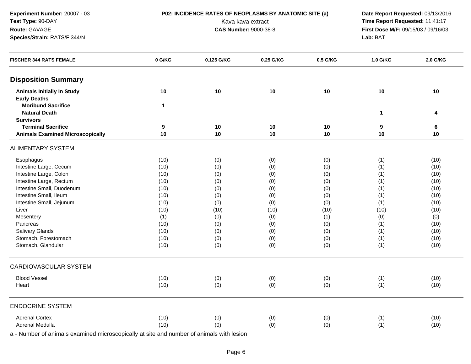**Experiment Number:** 20007 - 03**Test Type:** 90-DAY**Route:** GAVAGE**Species/Strain:** RATS/F 344/N

**P02: INCIDENCE RATES OF NEOPLASMS BY ANATOMIC SITE (a)** Date Report Requested: 09/13/2016<br>Kava kava extract **Time Report Requested:** 11:41:17 Kava kava extract **Time Report Requested:** 11:41:17<br>**CAS Number:** 9000-38-8 **Time Report Requested:** 11:41:17 **First Dose M/F:** 09/15/03 / 09/16/03<br>Lab: BAT **Lab:** BAT

| <b>FISCHER 344 RATS FEMALE</b>          | 0 G/KG | 0.125 G/KG | 0.25 G/KG | 0.5 G/KG | 1.0 G/KG     | 2.0 G/KG |
|-----------------------------------------|--------|------------|-----------|----------|--------------|----------|
| <b>Disposition Summary</b>              |        |            |           |          |              |          |
| <b>Animals Initially In Study</b>       | 10     | $10$       | 10        | $10$     | 10           | 10       |
| <b>Early Deaths</b>                     |        |            |           |          |              |          |
| <b>Moribund Sacrifice</b>               | 1      |            |           |          |              |          |
| <b>Natural Death</b>                    |        |            |           |          | $\mathbf{1}$ | 4        |
| <b>Survivors</b>                        |        |            |           |          |              |          |
| <b>Terminal Sacrifice</b>               | 9      | 10         | 10        | 10       | 9            | 6        |
| <b>Animals Examined Microscopically</b> | 10     | 10         | 10        | $10$     | 10           | 10       |
| <b>ALIMENTARY SYSTEM</b>                |        |            |           |          |              |          |
| Esophagus                               | (10)   | (0)        | (0)       | (0)      | (1)          | (10)     |
| Intestine Large, Cecum                  | (10)   | (0)        | (0)       | (0)      | (1)          | (10)     |
| Intestine Large, Colon                  | (10)   | (0)        | (0)       | (0)      | (1)          | (10)     |
| Intestine Large, Rectum                 | (10)   | (0)        | (0)       | (0)      | (1)          | (10)     |
| Intestine Small, Duodenum               | (10)   | (0)        | (0)       | (0)      | (1)          | (10)     |
| Intestine Small, Ileum                  | (10)   | (0)        | (0)       | (0)      | (1)          | (10)     |
| Intestine Small, Jejunum                | (10)   | (0)        | (0)       | (0)      | (1)          | (10)     |
| Liver                                   | (10)   | (10)       | (10)      | (10)     | (10)         | (10)     |
| Mesentery                               | (1)    | (0)        | (0)       | (1)      | (0)          | (0)      |
| Pancreas                                | (10)   | (0)        | (0)       | (0)      | (1)          | (10)     |
| Salivary Glands                         | (10)   | (0)        | (0)       | (0)      | (1)          | (10)     |
| Stomach, Forestomach                    | (10)   | (0)        | (0)       | (0)      | (1)          | (10)     |
| Stomach, Glandular                      | (10)   | (0)        | (0)       | (0)      | (1)          | (10)     |
| <b>CARDIOVASCULAR SYSTEM</b>            |        |            |           |          |              |          |
| <b>Blood Vessel</b>                     | (10)   | (0)        | (0)       | (0)      | (1)          | (10)     |
| Heart                                   | (10)   | (0)        | (0)       | (0)      | (1)          | (10)     |
| <b>ENDOCRINE SYSTEM</b>                 |        |            |           |          |              |          |
| <b>Adrenal Cortex</b>                   | (10)   | (0)        | (0)       | (0)      | (1)          | (10)     |
| Adrenal Medulla                         | (10)   | (0)        | (0)       | (0)      | (1)          | (10)     |
|                                         |        |            |           |          |              |          |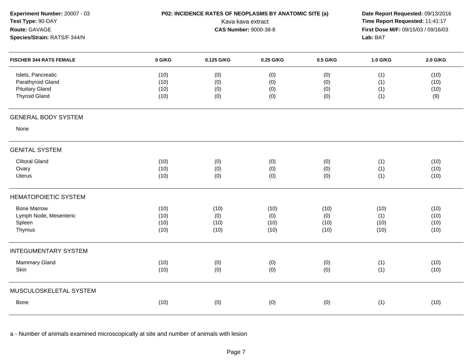| Experiment Number: 20007 - 03<br>Test Type: 90-DAY<br>Route: GAVAGE<br>Species/Strain: RATS/F 344/N |                              | P02: INCIDENCE RATES OF NEOPLASMS BY ANATOMIC SITE (a)<br>Kava kava extract<br><b>CAS Number: 9000-38-8</b> | Date Report Requested: 09/13/2016<br>Time Report Requested: 11:41:17<br>First Dose M/F: 09/15/03 / 09/16/03<br>Lab: BAT |                             |                             |                              |
|-----------------------------------------------------------------------------------------------------|------------------------------|-------------------------------------------------------------------------------------------------------------|-------------------------------------------------------------------------------------------------------------------------|-----------------------------|-----------------------------|------------------------------|
| <b>FISCHER 344 RATS FEMALE</b>                                                                      | 0 G/KG                       | 0.125 G/KG                                                                                                  | 0.25 G/KG                                                                                                               | 0.5 G/KG                    | 1.0 G/KG                    | 2.0 G/KG                     |
| Islets, Pancreatic<br>Parathyroid Gland<br><b>Pituitary Gland</b><br><b>Thyroid Gland</b>           | (10)<br>(10)<br>(10)<br>(10) | (0)<br>(0)<br>(0)<br>(0)                                                                                    | (0)<br>(0)<br>(0)<br>(0)                                                                                                | (0)<br>(0)<br>(0)<br>(0)    | (1)<br>(1)<br>(1)<br>(1)    | (10)<br>(10)<br>(10)<br>(9)  |
| <b>GENERAL BODY SYSTEM</b>                                                                          |                              |                                                                                                             |                                                                                                                         |                             |                             |                              |
| None                                                                                                |                              |                                                                                                             |                                                                                                                         |                             |                             |                              |
| <b>GENITAL SYSTEM</b>                                                                               |                              |                                                                                                             |                                                                                                                         |                             |                             |                              |
| <b>Clitoral Gland</b><br>Ovary<br>Uterus                                                            | (10)<br>(10)<br>(10)         | (0)<br>(0)<br>(0)                                                                                           | (0)<br>(0)<br>(0)                                                                                                       | (0)<br>(0)<br>(0)           | (1)<br>(1)<br>(1)           | (10)<br>(10)<br>(10)         |
| <b>HEMATOPOIETIC SYSTEM</b>                                                                         |                              |                                                                                                             |                                                                                                                         |                             |                             |                              |
| <b>Bone Marrow</b><br>Lymph Node, Mesenteric<br>Spleen<br>Thymus                                    | (10)<br>(10)<br>(10)<br>(10) | (10)<br>(0)<br>(10)<br>(10)                                                                                 | (10)<br>(0)<br>(10)<br>(10)                                                                                             | (10)<br>(0)<br>(10)<br>(10) | (10)<br>(1)<br>(10)<br>(10) | (10)<br>(10)<br>(10)<br>(10) |
| <b>INTEGUMENTARY SYSTEM</b>                                                                         |                              |                                                                                                             |                                                                                                                         |                             |                             |                              |
| Mammary Gland<br>Skin                                                                               | (10)<br>(10)                 | (0)<br>(0)                                                                                                  | (0)<br>(0)                                                                                                              | (0)<br>(0)                  | (1)<br>(1)                  | (10)<br>(10)                 |
| MUSCULOSKELETAL SYSTEM                                                                              |                              |                                                                                                             |                                                                                                                         |                             |                             |                              |
| <b>Bone</b>                                                                                         | (10)                         | (0)                                                                                                         | (0)                                                                                                                     | (0)                         | (1)                         | (10)                         |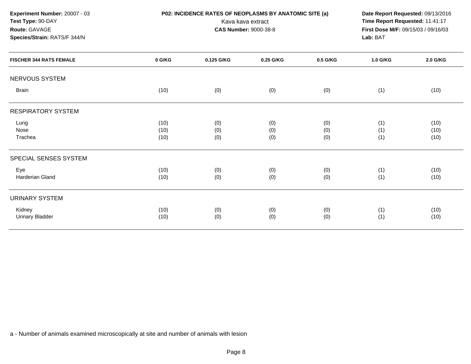| Experiment Number: 20007 - 03<br>Test Type: 90-DAY<br>Route: GAVAGE<br>Species/Strain: RATS/F 344/N |        | P02: INCIDENCE RATES OF NEOPLASMS BY ANATOMIC SITE (a)<br>Date Report Requested: 09/13/2016<br>Time Report Requested: 11:41:17<br>Kava kava extract<br>First Dose M/F: 09/15/03 / 09/16/03<br><b>CAS Number: 9000-38-8</b><br>Lab: BAT |           |          |          |          |
|-----------------------------------------------------------------------------------------------------|--------|----------------------------------------------------------------------------------------------------------------------------------------------------------------------------------------------------------------------------------------|-----------|----------|----------|----------|
| <b>FISCHER 344 RATS FEMALE</b>                                                                      | 0 G/KG | 0.125 G/KG                                                                                                                                                                                                                             | 0.25 G/KG | 0.5 G/KG | 1.0 G/KG | 2.0 G/KG |
| NERVOUS SYSTEM                                                                                      |        |                                                                                                                                                                                                                                        |           |          |          |          |
| <b>Brain</b>                                                                                        | (10)   | (0)                                                                                                                                                                                                                                    | (0)       | (0)      | (1)      | (10)     |
| <b>RESPIRATORY SYSTEM</b>                                                                           |        |                                                                                                                                                                                                                                        |           |          |          |          |
| Lung                                                                                                | (10)   | (0)                                                                                                                                                                                                                                    | (0)       | (0)      | (1)      | (10)     |
| Nose                                                                                                | (10)   | (0)                                                                                                                                                                                                                                    | (0)       | (0)      | (1)      | (10)     |
| Trachea                                                                                             | (10)   | (0)                                                                                                                                                                                                                                    | (0)       | (0)      | (1)      | (10)     |
| SPECIAL SENSES SYSTEM                                                                               |        |                                                                                                                                                                                                                                        |           |          |          |          |
| Eye                                                                                                 | (10)   | (0)                                                                                                                                                                                                                                    | (0)       | (0)      | (1)      | (10)     |
| <b>Harderian Gland</b>                                                                              | (10)   | (0)                                                                                                                                                                                                                                    | (0)       | (0)      | (1)      | (10)     |
| <b>URINARY SYSTEM</b>                                                                               |        |                                                                                                                                                                                                                                        |           |          |          |          |
| Kidney                                                                                              | (10)   | (0)                                                                                                                                                                                                                                    | (0)       | (0)      | (1)      | (10)     |
| <b>Urinary Bladder</b>                                                                              | (10)   | (0)                                                                                                                                                                                                                                    | (0)       | (0)      | (1)      | (10)     |
|                                                                                                     |        |                                                                                                                                                                                                                                        |           |          |          |          |